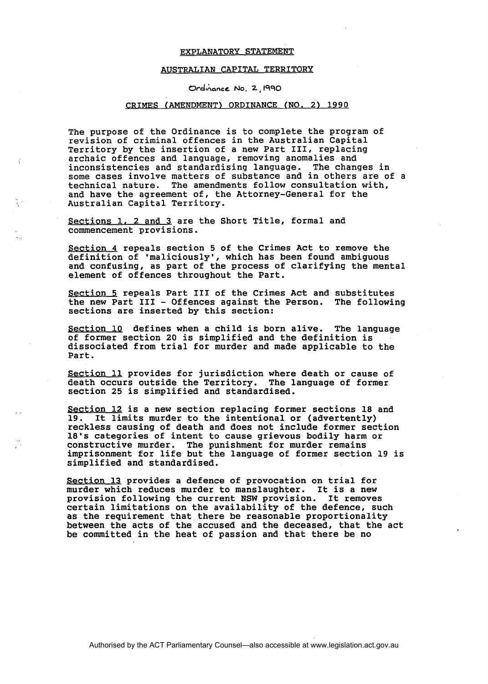## EXPLANATORY STATEMENT

## AUSTRALIAN CAPITAL TERRITORY

Ordinance No. 2, 1990

## GRIMES (AMENDMENT) ORDINANCE (NO. **2)** 1990

The purpose of the Ordinance is to complete the program of revision of criminal offences in the Australian Capital Territory by the insertion of a new Part 111, replacing archaic offences and language, removing anomalies and inconsistencies and standardising language. The changes in some cases involve matters of substance and in others are of a technical nature. The amendments follow consultation with, and have the agreement of, the Attorney-General for the Australian Capital Territory.

Sections 1, 2 and 3 are the Short Title, formal and commencement provisions.

Section **4** repeals section 5 of the Crimes Act to remove the definition of 'maliciously', which has been found ambiguous and confusing, as part of the process of clarifying the mental element of offences throughout the Part.

Section 5 repeals Part III of the Crimes Act and substitutes<br>the new Part III - Offences against the Person. The following the new Part  $III -$  Offences against the Person. sections are inserted by this section:

Section 10 defines when a child is born alive. The language of former section 20 is simplified and the definition is dissociated from trial for murder and made applicable to the Part.

Section 11 provides for jurisdiction where death or cause of death occurs outside the Territory. The language of former section 25 is simplified and standardised.

Section 12 is a new section replacing former sections 18 and<br>19. It limits murder to the intentional or (advertently) It limits murder to the intentional or (advertently) reckless causing of death and does not include former section 18's categories of intent to cause grievous bodily harm or constructive murder. The punishment for murder remains imprisonment for life but the language of former section 19 is simplified and standardised.

Section 13 provides a defence of provocation on trial for murder which reduces murder to manslaughter. It is a new provision following the current NSW provision. It removes certain limitations on the availability of the defence, such as the requirement that there be reasonable proportionality between the acts of the accused and the deceased, that the act be committed in the heat of passion and that there be no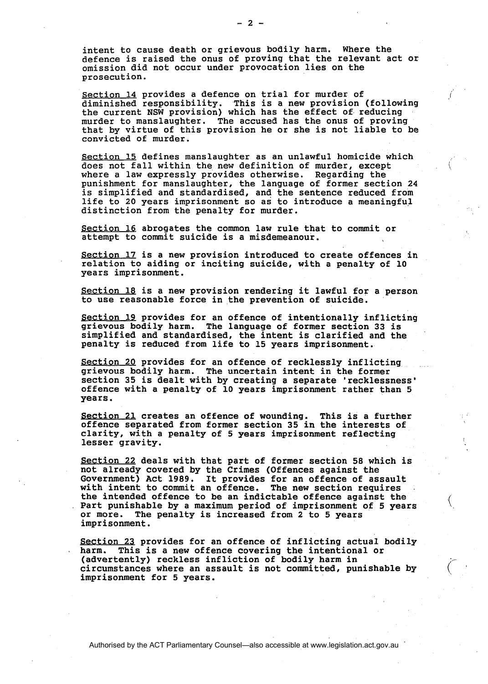intent to cause death or grievous bodily harm. Where the defence is raised the onus of proving that the relevant act or omission did not occur under provocation lies on the prosecution.

Section 14 provides a defence on trial for murder of diminished responsibility. This is a new provision (following the current NSW provision) which has the effect of reducing murder to manslaughter. The accused has the onus of proving that by virtue of this provision he or she is not liable to be convicted of murder.

Section **15** defines manslaughter as an unlawful homicide which does not fall within the new definition of murder, except \ where a law expressly provides otherwise. Regarding the punishment for manslaughter, the language of former section **24**  is simplified and standardised, and the sentence reduced from life to **20** years imprisonment so as to introduce a meaningful distinction from the penalty for murder.

Section 16 abrogates the common law rule that to commit or attempt to commit suicide is a misdemeanour.

Section **17** is a new provision introduced to create offences in relation to aiding or inciting suicide, with a penalty of **10**  years imprisonment.

Section 18 is a new provision rendering it lawful for a person to use reasonable force in the prevention of suicide.

Section **19** provides for an offence of intentionally inflicting grievous bodily harm. The language of former section 33 is simplified and standardised, the intent is clarified and the penalty is reduced from life to **15** years imprisonment.

Section **20** provides for an offence of recklessly inflicting grievous bodily harm. The uncertain intent in the former section **35** is dealt with by creating a separate 'recklessness' offence with a penalty of **10** years imprisonment rather than **5**  years.

Section 21 creates an offence of wounding. This is a further offence separated from former section **35** in the interests of clarity, with a penalty of **5** years imprisonment reflecting lesser gravity.

Section **22** deals with that part of former section **58** which is not already covered by the Crimes (Offences against the Government) Act **1989.** It provides for an offence of assault with intent to commit an offence. The new section requires the intended offence to be an indictable offence against the Part punishable by a maximum period of imprisonment of **5** years or more. The penalty is increased from 2 to **5** years imprisonment.

Section 23 provides for an offence of inflicting actual bodily<br>harm. This is a new offence covering the intentional or harm. This is a new offence covering the intentional or<br>(advertently) reckless infliction of bodily harm in circumstances where an assault is not committed, punishable by imprisonment for **5** years.

 $(\quad \, )$ 

 $-2 -$ 

Authorised by the ACT Parliamentary Counsel—also accessible at www.legislation.act.gov.au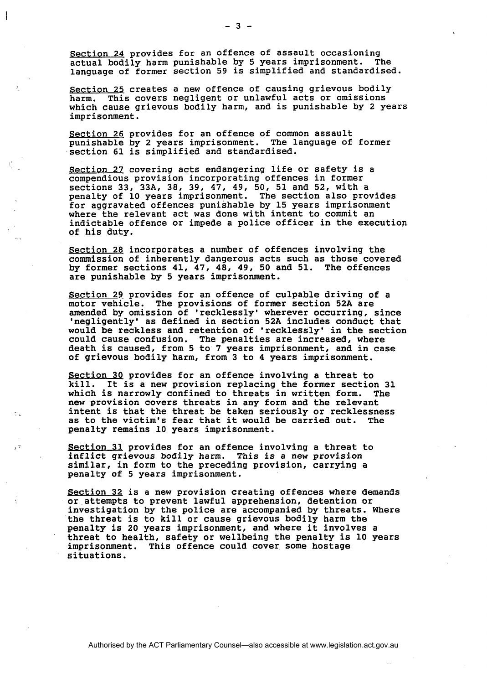**Section 24 provides for an offence of assault occasioning actual bodily harm punishable by 5 years imprisonment. The language of former section 59 is simplified and standardised.** 

Section 25 creates a new offence of causing grievous bodily **harm. This covers negligent or unlawful acts or omissions which cause grievous bodily harm, and is punishable by 2 years imprisonment.** 

**Section 26 provides for an offence of common assault punishable by 2 years imprisonment. The language of former section 61 is simplified and standardised.** 

**Section 27 covering acts endangering life or safety is a compendious provision incorporating offences in former sections 33, 33A, 38, 39, 47, 49, 50, 51 and 52, with a penalty of 10 years imprisonment. The section also provides for aggravated offences punishable by 15 years imprisonment where the relevant act was done with intent to commit an indictable offence or impede a police officer in the execution of his duty.** 

**Section 28 incorporates a number of offences involving the commission of inherently dangerous acts such as those covered by former sections 41, 47, 48, 49, 50 and 51. The offences are punishable by 5 years imprisonment.** 

**Section 29 provides for an offence of culpable driving of a motor vehicle. The provisions of former section 52A are amended by omission of 'recklessly' wherever occurring, since 'negligently' as defined in section 52A includes conduct that would be reckless and retention of 'recklessly' in the section could cause confusion. The penalties are increased, where death is caused, from 5 to 7 years imprisonment, and in case of grievous bodily harm, from 3 to 4 years imprisonment.** 

**Section 3Q provides for an offence involving a threat to**  It is a new provision replacing the former section 31 **which is narrowly confined to threats in written form. The new provision covers threats in any form and the relevant** . - **intent is that the threat be taken seriously or recklessness as to the victim's fear that it would be carried out. The penalty remains 10 years imprisonment.** 

**I. I.** Section 31 provides for an offence involving a threat to **inflict grievous bodily harm. This is a new provision similar, in form to the preceding provision, carrying a penalty of 5 years imprisonment.** 

> **Section 32 is a new provision creating offences where demands or attempts to prevent lawful apprehension, detention or investigation by the police are accompanied by threats. Where the threat is to kill or cause grievous bodily harm the penalty is 20 years imprisonment, and where it involves a threat to health, safety or wellbeing the penalty is 10 years imprisonment. This offence could cover some hostage situations.**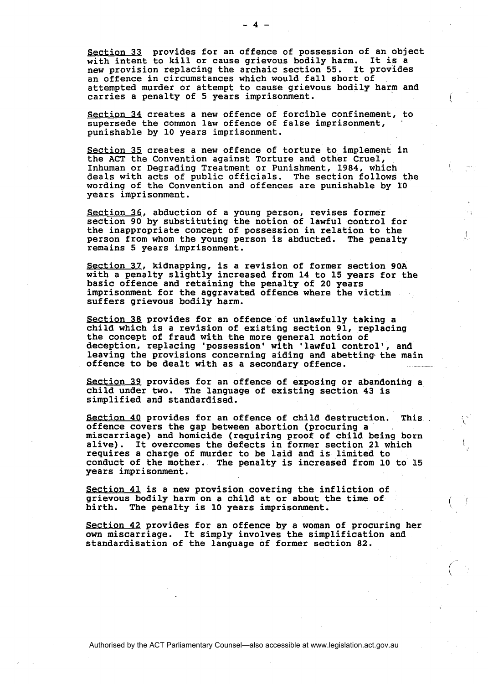Section 33 provides for an offence of possession of an object with intent to kill or cause grievous bodily harm. It is a new provision replacing the archaic section 55. It provides an offence in circumstances which would fall short of attempted murder or attempt to cause grievous bodily harm and carries a penalty of 5 years imprisonment.

Section 34 creates a new offence of forcible confinement, to supersede the common law offence of false imprisonment, punishable by 10 years imprisonment.

Section 35 creates a new offence of torture to implement in the ACT the Convention against Torture and other Cruel, Inhuman or Degrading Treatment or Punishment, 1984, which deals with acts of public officials. The section follows the wording of the Convention and offences are punishable by 10 years imprisonment.

Section 36, abduction of a young person, revises former section 90 by substituting the notion of lawful control for the inappropriate concept of possession in relation to the person from whom the young person is abducted. The penalty remains 5 years imprisonment.

Section 37, kidnapping, is a revision of former section 90A with a penalty slightly increased from 14 to 15 years for the basic offence and retaining the penalty of 20 years imprisonment for the aggravated offence where the victim suffers grievous bodily harm.

Section 38 provides for an offence of unlawfully taking a child which is a revision of existing section 91, replacing the concept of fraud with the more general notion of deception, replacing 'possession' with 'lawful control', and leaving the provisions concerning aiding and abetting the main offence to be dealt with as a secondary offence.

Section 39 provides for an offence of exposing or abandoning a child under two. The language of existing section 43 is simplified and standardised.

Section 4Q provides for an offence of child destruction. This offence covers the gap between abortion (procuring a miscarriage) and homicide (requiring proof of child being born alive). It overcomes the defects in former section 21 which requires a charge of murder to be laid and is limited to conduct of the mother. The penalty is increased from 10 to 15 years imprisonment.

Section 41 is a new provision covering the infliction of grievous bodily harm on a child at or about the time of birth. The penalty is 10 years imprisonment.

section 42 provides for an offence by a woman of procuring her own miscarriage. It simply involves the simplification and standardisation of the language of former section 82.